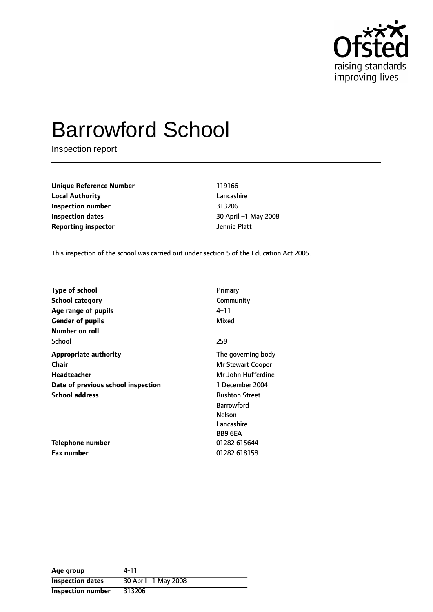

# Barrowford School

Inspection report

**Unique Reference Number** 119166 **Local Authority** Lancashire **Inspection number** 313206 **Inspection dates** 30 April -1 May 2008 **Reporting inspector CONFIDENTIAL REPORTING THE PLATE** 

This inspection of the school was carried out under section 5 of the Education Act 2005.

| <b>Type of school</b>              | Primary               |
|------------------------------------|-----------------------|
| <b>School category</b>             | Community             |
| Age range of pupils                | 4–11                  |
| <b>Gender of pupils</b>            | Mixed                 |
| Number on roll                     |                       |
| School                             | 259                   |
| <b>Appropriate authority</b>       | The governing body    |
| <b>Chair</b>                       | Mr Stewart Cooper     |
| <b>Headteacher</b>                 | Mr John Hufferdine    |
| Date of previous school inspection | 1 December 2004       |
| <b>School address</b>              | <b>Rushton Street</b> |
|                                    | <b>Barrowford</b>     |
|                                    | Nelson                |
|                                    | Lancashire            |
|                                    | BB9 6EA               |
| <b>Telephone number</b>            | 01282 615644          |
| <b>Fax number</b>                  | 01282 618158          |

**Age group** 4-11 **Inspection dates** 30 April -1 May 2008 **Inspection number** 313206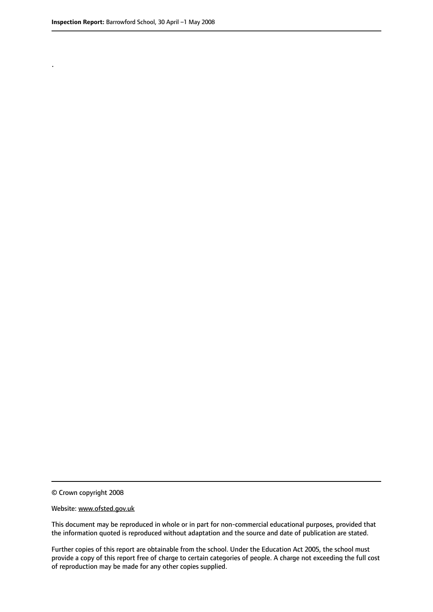.

© Crown copyright 2008

#### Website: www.ofsted.gov.uk

This document may be reproduced in whole or in part for non-commercial educational purposes, provided that the information quoted is reproduced without adaptation and the source and date of publication are stated.

Further copies of this report are obtainable from the school. Under the Education Act 2005, the school must provide a copy of this report free of charge to certain categories of people. A charge not exceeding the full cost of reproduction may be made for any other copies supplied.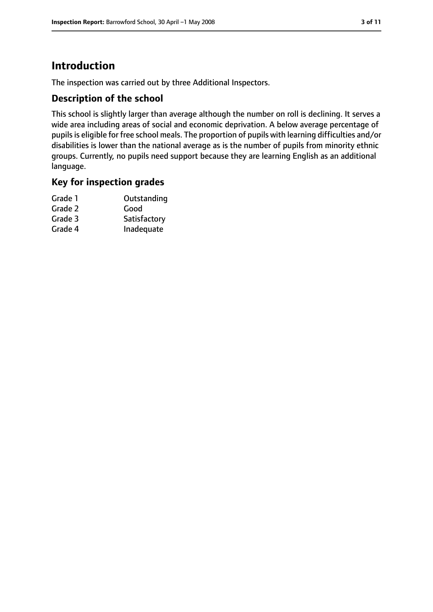### **Introduction**

The inspection was carried out by three Additional Inspectors.

### **Description of the school**

This school is slightly larger than average although the number on roll is declining. It serves a wide area including areas of social and economic deprivation. A below average percentage of pupils is eligible for free school meals. The proportion of pupils with learning difficulties and/or disabilities is lower than the national average as is the number of pupils from minority ethnic groups. Currently, no pupils need support because they are learning English as an additional language.

### **Key for inspection grades**

| Grade 1 | Outstanding  |
|---------|--------------|
| Grade 2 | Good         |
| Grade 3 | Satisfactory |
| Grade 4 | Inadequate   |
|         |              |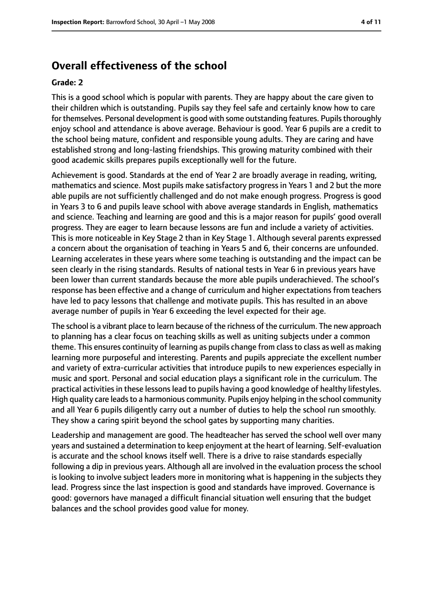### **Overall effectiveness of the school**

#### **Grade: 2**

This is a good school which is popular with parents. They are happy about the care given to their children which is outstanding. Pupils say they feel safe and certainly know how to care for themselves. Personal development is good with some outstanding features. Pupils thoroughly enjoy school and attendance is above average. Behaviour is good. Year 6 pupils are a credit to the school being mature, confident and responsible young adults. They are caring and have established strong and long-lasting friendships. This growing maturity combined with their good academic skills prepares pupils exceptionally well for the future.

Achievement is good. Standards at the end of Year 2 are broadly average in reading, writing, mathematics and science. Most pupils make satisfactory progress in Years 1 and 2 but the more able pupils are not sufficiently challenged and do not make enough progress. Progress is good in Years 3 to 6 and pupils leave school with above average standards in English, mathematics and science. Teaching and learning are good and this is a major reason for pupils' good overall progress. They are eager to learn because lessons are fun and include a variety of activities. This is more noticeable in Key Stage 2 than in Key Stage 1. Although several parents expressed a concern about the organisation of teaching in Years 5 and 6, their concerns are unfounded. Learning accelerates in these years where some teaching is outstanding and the impact can be seen clearly in the rising standards. Results of national tests in Year 6 in previous years have been lower than current standards because the more able pupils underachieved. The school's response has been effective and a change of curriculum and higher expectations from teachers have led to pacy lessons that challenge and motivate pupils. This has resulted in an above average number of pupils in Year 6 exceeding the level expected for their age.

The school is a vibrant place to learn because of the richness of the curriculum. The new approach to planning has a clear focus on teaching skills as well as uniting subjects under a common theme. This ensures continuity of learning as pupils change from class to class as well as making learning more purposeful and interesting. Parents and pupils appreciate the excellent number and variety of extra-curricular activities that introduce pupils to new experiences especially in music and sport. Personal and social education plays a significant role in the curriculum. The practical activitiesin these lessonslead to pupils having a good knowledge of healthy lifestyles. High quality care leads to a harmonious community. Pupils enjoy helping in the school community and all Year 6 pupils diligently carry out a number of duties to help the school run smoothly. They show a caring spirit beyond the school gates by supporting many charities.

Leadership and management are good. The headteacher has served the school well over many years and sustained a determination to keep enjoyment at the heart of learning. Self-evaluation is accurate and the school knows itself well. There is a drive to raise standards especially following a dip in previous years. Although all are involved in the evaluation process the school is looking to involve subject leaders more in monitoring what is happening in the subjects they lead. Progress since the last inspection is good and standards have improved. Governance is good: governors have managed a difficult financial situation well ensuring that the budget balances and the school provides good value for money.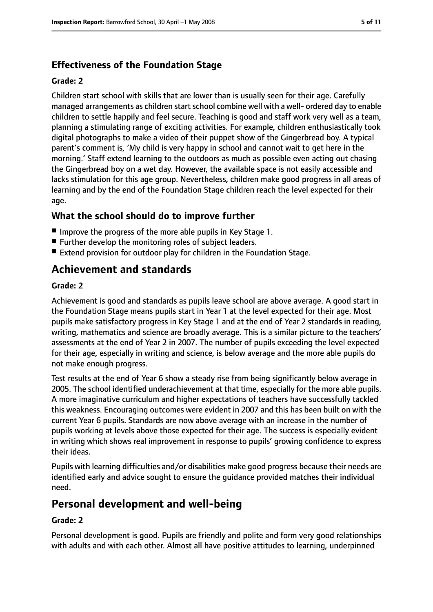### **Effectiveness of the Foundation Stage**

#### **Grade: 2**

Children start school with skills that are lower than is usually seen for their age. Carefully managed arrangements as children start school combine well with a well- ordered day to enable children to settle happily and feel secure. Teaching is good and staff work very well as a team, planning a stimulating range of exciting activities. For example, children enthusiastically took digital photographs to make a video of their puppet show of the Gingerbread boy. A typical parent's comment is, 'My child is very happy in school and cannot wait to get here in the morning.' Staff extend learning to the outdoors as much as possible even acting out chasing the Gingerbread boy on a wet day. However, the available space is not easily accessible and lacks stimulation for this age group. Nevertheless, children make good progress in all areas of learning and by the end of the Foundation Stage children reach the level expected for their age.

### **What the school should do to improve further**

- Improve the progress of the more able pupils in Key Stage 1.
- Further develop the monitoring roles of subject leaders.
- Extend provision for outdoor play for children in the Foundation Stage.

### **Achievement and standards**

#### **Grade: 2**

Achievement is good and standards as pupils leave school are above average. A good start in the Foundation Stage means pupils start in Year 1 at the level expected for their age. Most pupils make satisfactory progress in Key Stage 1 and at the end of Year 2 standards in reading, writing, mathematics and science are broadly average. This is a similar picture to the teachers' assessments at the end of Year 2 in 2007. The number of pupils exceeding the level expected for their age, especially in writing and science, is below average and the more able pupils do not make enough progress.

Test results at the end of Year 6 show a steady rise from being significantly below average in 2005. The school identified underachievement at that time, especially for the more able pupils. A more imaginative curriculum and higher expectations of teachers have successfully tackled this weakness. Encouraging outcomes were evident in 2007 and this has been built on with the current Year 6 pupils. Standards are now above average with an increase in the number of pupils working at levels above those expected for their age. The success is especially evident in writing which shows real improvement in response to pupils' growing confidence to express their ideas.

Pupils with learning difficulties and/or disabilities make good progress because their needs are identified early and advice sought to ensure the guidance provided matches their individual need.

### **Personal development and well-being**

#### **Grade: 2**

Personal development is good. Pupils are friendly and polite and form very good relationships with adults and with each other. Almost all have positive attitudes to learning, underpinned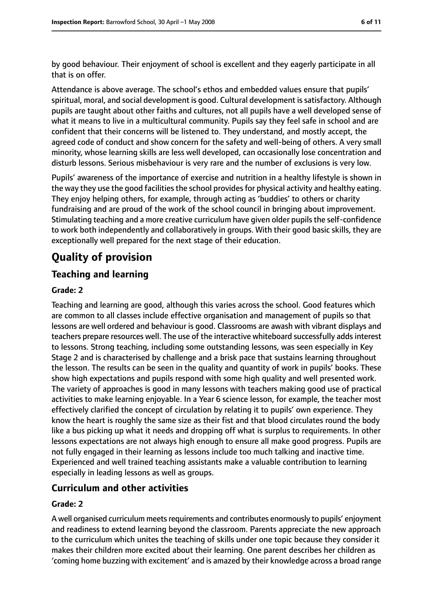by good behaviour. Their enjoyment of school is excellent and they eagerly participate in all that is on offer.

Attendance is above average. The school's ethos and embedded values ensure that pupils' spiritual, moral, and social development is good. Cultural development is satisfactory. Although pupils are taught about other faiths and cultures, not all pupils have a well developed sense of what it means to live in a multicultural community. Pupils say they feel safe in school and are confident that their concerns will be listened to. They understand, and mostly accept, the agreed code of conduct and show concern for the safety and well-being of others. A very small minority, whose learning skills are less well developed, can occasionally lose concentration and disturb lessons. Serious misbehaviour is very rare and the number of exclusions is very low.

Pupils' awareness of the importance of exercise and nutrition in a healthy lifestyle is shown in the way they use the good facilities the school provides for physical activity and healthy eating. They enjoy helping others, for example, through acting as 'buddies' to others or charity fundraising and are proud of the work of the school council in bringing about improvement. Stimulating teaching and a more creative curriculum have given older pupils the self-confidence to work both independently and collaboratively in groups. With their good basic skills, they are exceptionally well prepared for the next stage of their education.

### **Quality of provision**

### **Teaching and learning**

#### **Grade: 2**

Teaching and learning are good, although this varies across the school. Good features which are common to all classes include effective organisation and management of pupils so that lessons are well ordered and behaviour is good. Classrooms are awash with vibrant displays and teachers prepare resources well. The use of the interactive whiteboard successfully addsinterest to lessons. Strong teaching, including some outstanding lessons, was seen especially in Key Stage 2 and is characterised by challenge and a brisk pace that sustains learning throughout the lesson. The results can be seen in the quality and quantity of work in pupils' books. These show high expectations and pupils respond with some high quality and well presented work. The variety of approaches is good in many lessons with teachers making good use of practical activities to make learning enjoyable. In a Year 6 science lesson, for example, the teacher most effectively clarified the concept of circulation by relating it to pupils' own experience. They know the heart is roughly the same size as their fist and that blood circulates round the body like a bus picking up what it needs and dropping off what is surplus to requirements. In other lessons expectations are not always high enough to ensure all make good progress. Pupils are not fully engaged in their learning as lessons include too much talking and inactive time. Experienced and well trained teaching assistants make a valuable contribution to learning especially in leading lessons as well as groups.

### **Curriculum and other activities**

#### **Grade: 2**

A well organised curriculum meets requirements and contributes enormously to pupils' enjoyment and readiness to extend learning beyond the classroom. Parents appreciate the new approach to the curriculum which unites the teaching of skills under one topic because they consider it makes their children more excited about their learning. One parent describes her children as 'coming home buzzing with excitement' and is amazed by their knowledge across a broad range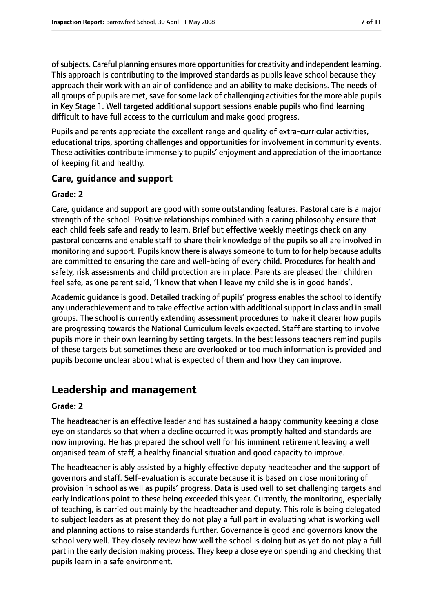ofsubjects. Careful planning ensures more opportunitiesfor creativity and independent learning. This approach is contributing to the improved standards as pupils leave school because they approach their work with an air of confidence and an ability to make decisions. The needs of all groups of pupils are met, save for some lack of challenging activities for the more able pupils in Key Stage 1. Well targeted additional support sessions enable pupils who find learning difficult to have full access to the curriculum and make good progress.

Pupils and parents appreciate the excellent range and quality of extra-curricular activities, educational trips, sporting challenges and opportunities for involvement in community events. These activities contribute immensely to pupils' enjoyment and appreciation of the importance of keeping fit and healthy.

### **Care, guidance and support**

#### **Grade: 2**

Care, guidance and support are good with some outstanding features. Pastoral care is a major strength of the school. Positive relationships combined with a caring philosophy ensure that each child feels safe and ready to learn. Brief but effective weekly meetings check on any pastoral concerns and enable staff to share their knowledge of the pupils so all are involved in monitoring and support. Pupils know there is always someone to turn to for help because adults are committed to ensuring the care and well-being of every child. Procedures for health and safety, risk assessments and child protection are in place. Parents are pleased their children feel safe, as one parent said, 'I know that when I leave my child she is in good hands'.

Academic guidance is good. Detailed tracking of pupils' progress enables the school to identify any underachievement and to take effective action with additional support in class and in small groups. The school is currently extending assessment procedures to make it clearer how pupils are progressing towards the National Curriculum levels expected. Staff are starting to involve pupils more in their own learning by setting targets. In the best lessons teachers remind pupils of these targets but sometimes these are overlooked or too much information is provided and pupils become unclear about what is expected of them and how they can improve.

### **Leadership and management**

#### **Grade: 2**

The headteacher is an effective leader and has sustained a happy community keeping a close eye on standards so that when a decline occurred it was promptly halted and standards are now improving. He has prepared the school well for his imminent retirement leaving a well organised team of staff, a healthy financial situation and good capacity to improve.

The headteacher is ably assisted by a highly effective deputy headteacher and the support of governors and staff. Self-evaluation is accurate because it is based on close monitoring of provision in school as well as pupils' progress. Data is used well to set challenging targets and early indications point to these being exceeded this year. Currently, the monitoring, especially of teaching, is carried out mainly by the headteacher and deputy. This role is being delegated to subject leaders as at present they do not play a full part in evaluating what is working well and planning actions to raise standards further. Governance is good and governors know the school very well. They closely review how well the school is doing but as yet do not play a full part in the early decision making process. They keep a close eye on spending and checking that pupils learn in a safe environment.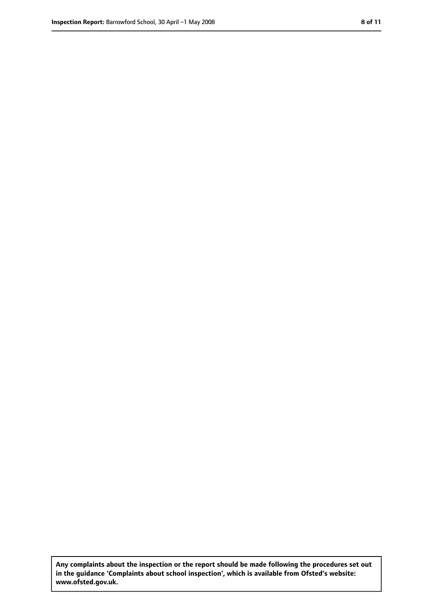**Any complaints about the inspection or the report should be made following the procedures set out in the guidance 'Complaints about school inspection', which is available from Ofsted's website: www.ofsted.gov.uk.**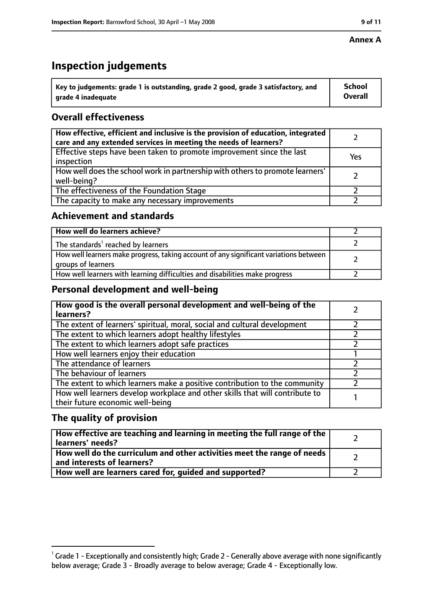#### **Annex A**

## **Inspection judgements**

| $^{\backprime}$ Key to judgements: grade 1 is outstanding, grade 2 good, grade 3 satisfactory, and | <b>School</b>  |
|----------------------------------------------------------------------------------------------------|----------------|
| arade 4 inadequate                                                                                 | <b>Overall</b> |

### **Overall effectiveness**

| How effective, efficient and inclusive is the provision of education, integrated<br>care and any extended services in meeting the needs of learners? |     |
|------------------------------------------------------------------------------------------------------------------------------------------------------|-----|
| Effective steps have been taken to promote improvement since the last<br>inspection                                                                  | Yes |
| How well does the school work in partnership with others to promote learners'<br>well-being?                                                         |     |
| The effectiveness of the Foundation Stage                                                                                                            |     |
| The capacity to make any necessary improvements                                                                                                      |     |

### **Achievement and standards**

| How well do learners achieve?                                                                               |  |
|-------------------------------------------------------------------------------------------------------------|--|
| The standards <sup>1</sup> reached by learners                                                              |  |
| How well learners make progress, taking account of any significant variations between<br>groups of learners |  |
| How well learners with learning difficulties and disabilities make progress                                 |  |

### **Personal development and well-being**

| How good is the overall personal development and well-being of the<br>learners?                                  |  |
|------------------------------------------------------------------------------------------------------------------|--|
| The extent of learners' spiritual, moral, social and cultural development                                        |  |
| The extent to which learners adopt healthy lifestyles                                                            |  |
| The extent to which learners adopt safe practices                                                                |  |
| How well learners enjoy their education                                                                          |  |
| The attendance of learners                                                                                       |  |
| The behaviour of learners                                                                                        |  |
| The extent to which learners make a positive contribution to the community                                       |  |
| How well learners develop workplace and other skills that will contribute to<br>their future economic well-being |  |

### **The quality of provision**

| How effective are teaching and learning in meeting the full range of the<br>learners' needs?          |  |
|-------------------------------------------------------------------------------------------------------|--|
| How well do the curriculum and other activities meet the range of needs<br>and interests of learners? |  |
| How well are learners cared for, quided and supported?                                                |  |

 $^1$  Grade 1 - Exceptionally and consistently high; Grade 2 - Generally above average with none significantly below average; Grade 3 - Broadly average to below average; Grade 4 - Exceptionally low.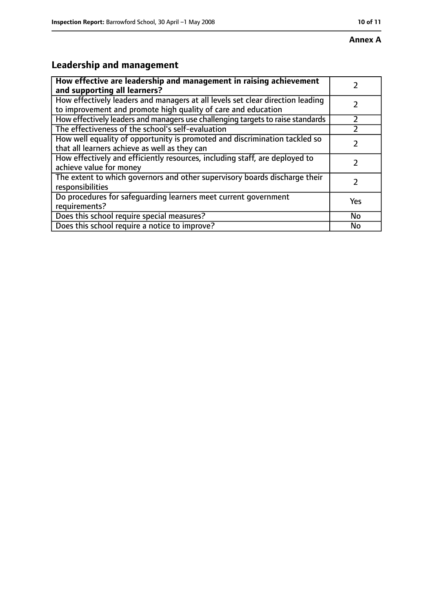#### **Annex A**

## **Leadership and management**

| How effective are leadership and management in raising achievement<br>and supporting all learners?                                              |     |
|-------------------------------------------------------------------------------------------------------------------------------------------------|-----|
| How effectively leaders and managers at all levels set clear direction leading<br>to improvement and promote high quality of care and education |     |
| How effectively leaders and managers use challenging targets to raise standards                                                                 |     |
| The effectiveness of the school's self-evaluation                                                                                               |     |
| How well equality of opportunity is promoted and discrimination tackled so<br>that all learners achieve as well as they can                     |     |
| How effectively and efficiently resources, including staff, are deployed to<br>achieve value for money                                          |     |
| The extent to which governors and other supervisory boards discharge their<br>responsibilities                                                  | 7   |
| Do procedures for safequarding learners meet current government<br>requirements?                                                                | Yes |
| Does this school require special measures?                                                                                                      | No  |
| Does this school require a notice to improve?                                                                                                   | No  |